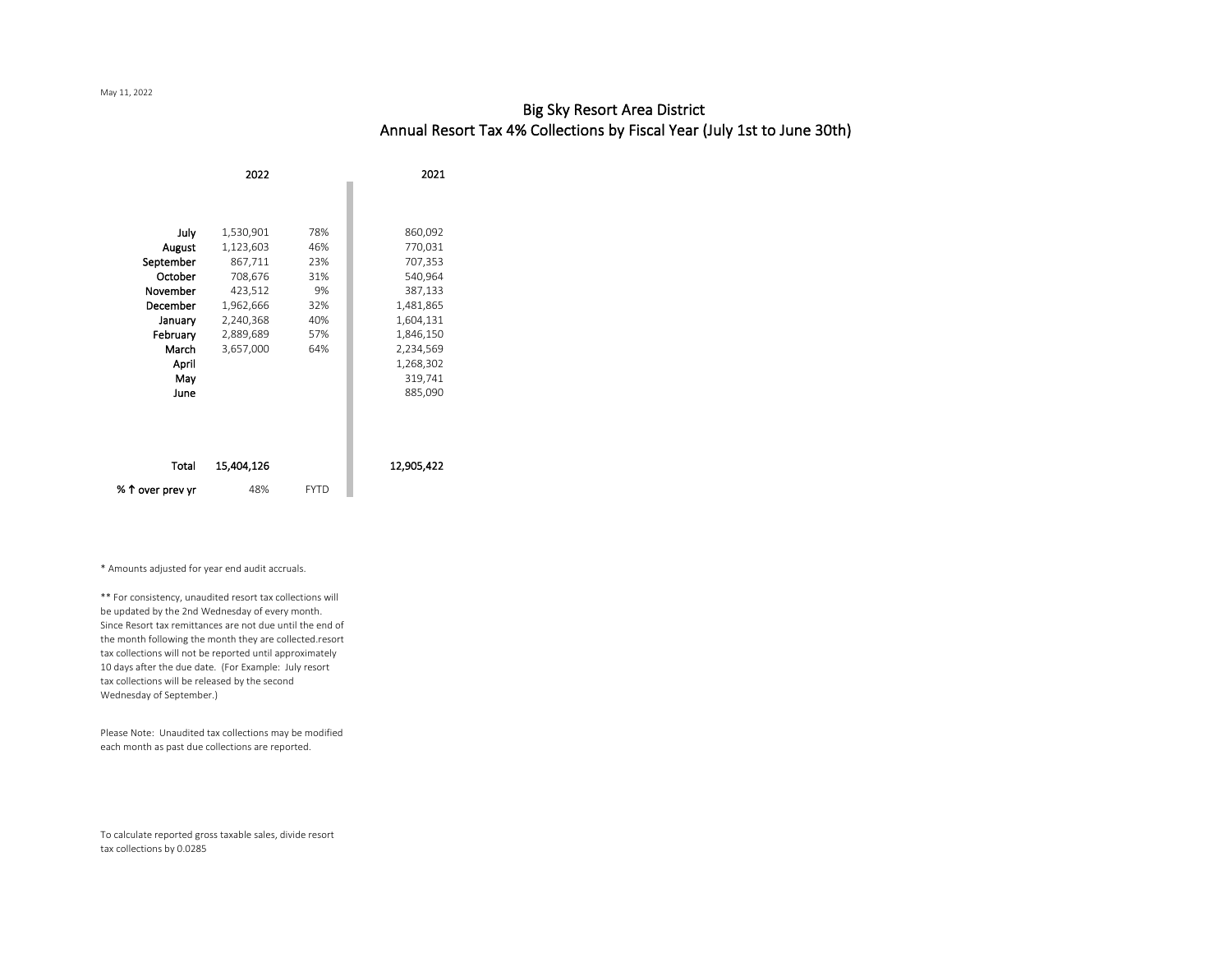## Big Sky Resort Area District Annual Resort Tax 4% Collections by Fiscal Year (July 1st to June 30th)

|                  | 2022       |             | 2021       |
|------------------|------------|-------------|------------|
|                  |            |             |            |
|                  |            |             |            |
| July             | 1,530,901  | 78%         | 860,092    |
| August           | 1,123,603  | 46%         | 770,031    |
| September        | 867,711    | 23%         | 707,353    |
| October          | 708,676    | 31%         | 540,964    |
| November         | 423,512    | 9%          | 387,133    |
| December         | 1,962,666  | 32%         | 1,481,865  |
| January          | 2,240,368  | 40%         | 1,604,131  |
| February         | 2,889,689  | 57%         | 1,846,150  |
| March            | 3,657,000  | 64%         | 2,234,569  |
| April            |            |             | 1,268,302  |
| May              |            |             | 319,741    |
| June             |            |             | 885,090    |
|                  |            |             |            |
|                  |            |             |            |
|                  |            |             |            |
|                  |            |             |            |
| Total            | 15,404,126 |             | 12,905,422 |
| % 1 over prev yr | 48%        | <b>FYTD</b> |            |

\* Amounts adjusted for year end audit accruals.

\*\* For consistency, unaudited resort tax collections will be updated by the 2nd Wednesday of every month. Since Resort tax remittances are not due until the end of the month following the month they are collected.resort tax collections will not be reported until approximately 10 days after the due date. (For Example: July resort tax collections will be released by the second Wednesday of September.)

Please Note: Unaudited tax collections may be modified each month as past due collections are reported.

To calculate reported gross taxable sales, divide resort tax collections by 0.0285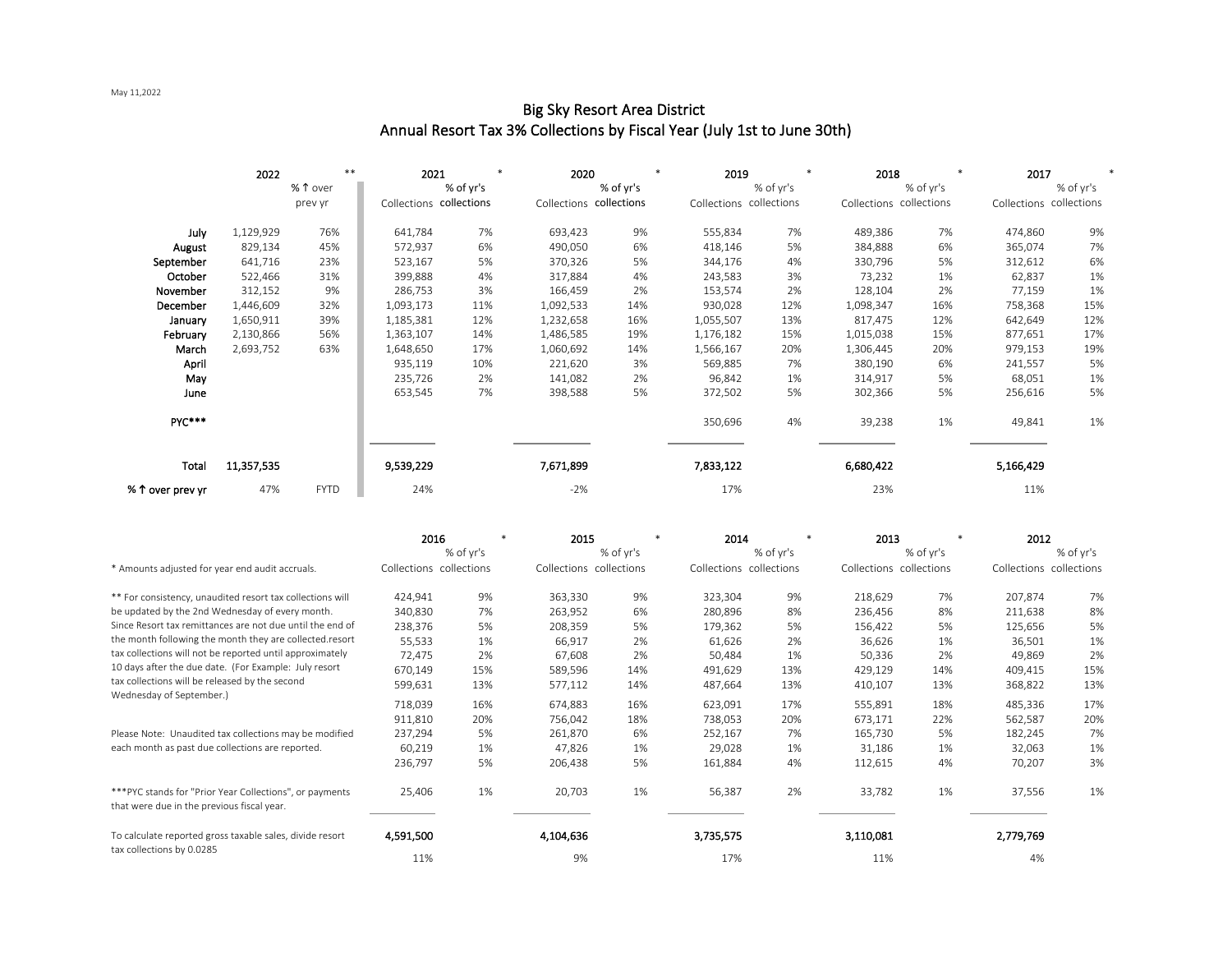May 11,2022

|                  | 2022       | $**$        | 2021                    |           | 2020                    |           | 2019                    |           | 2018                    | $\ast$    | 2017                    |           |
|------------------|------------|-------------|-------------------------|-----------|-------------------------|-----------|-------------------------|-----------|-------------------------|-----------|-------------------------|-----------|
|                  |            | % 1 over    |                         | % of yr's |                         | % of yr's |                         | % of yr's |                         | % of yr's |                         | % of yr's |
|                  |            | prev yr     | Collections collections |           | Collections collections |           | Collections collections |           | Collections collections |           | Collections collections |           |
| July             | 1,129,929  | 76%         | 641,784                 | 7%        | 693,423                 | 9%        | 555,834                 | 7%        | 489,386                 | 7%        | 474,860                 | 9%        |
| August           | 829,134    | 45%         | 572,937                 | 6%        | 490,050                 | 6%        | 418,146                 | 5%        | 384,888                 | 6%        | 365,074                 | 7%        |
| September        | 641,716    | 23%         | 523,167                 | 5%        | 370,326                 | 5%        | 344,176                 | 4%        | 330,796                 | 5%        | 312,612                 | 6%        |
| October          | 522,466    | 31%         | 399,888                 | 4%        | 317,884                 | 4%        | 243,583                 | 3%        | 73,232                  | 1%        | 62,837                  | 1%        |
| November         | 312,152    | 9%          | 286,753                 | 3%        | 166,459                 | 2%        | 153,574                 | 2%        | 128,104                 | 2%        | 77,159                  | 1%        |
| December         | 1,446,609  | 32%         | 1,093,173               | 11%       | 1,092,533               | 14%       | 930,028                 | 12%       | 1,098,347               | 16%       | 758,368                 | 15%       |
| January          | 1,650,911  | 39%         | 1,185,381               | 12%       | 1,232,658               | 16%       | 1,055,507               | 13%       | 817,475                 | 12%       | 642,649                 | 12%       |
| February         | 2,130,866  | 56%         | 1,363,107               | 14%       | 1,486,585               | 19%       | 1,176,182               | 15%       | 1,015,038               | 15%       | 877,651                 | 17%       |
| March            | 2,693,752  | 63%         | 1,648,650               | 17%       | 1,060,692               | 14%       | 1,566,167               | 20%       | 1,306,445               | 20%       | 979,153                 | 19%       |
| April            |            |             | 935,119                 | 10%       | 221,620                 | 3%        | 569,885                 | 7%        | 380,190                 | 6%        | 241,557                 | 5%        |
| May              |            |             | 235,726                 | 2%        | 141,082                 | 2%        | 96,842                  | 1%        | 314,917                 | 5%        | 68,051                  | 1%        |
| June             |            |             | 653,545                 | 7%        | 398,588                 | 5%        | 372,502                 | 5%        | 302,366                 | 5%        | 256,616                 | 5%        |
| PYC***           |            |             |                         |           |                         |           | 350,696                 | 4%        | 39,238                  | 1%        | 49,841                  | 1%        |
| Total            | 11,357,535 |             | 9,539,229               |           | 7,671,899               |           | 7,833,122               |           | 6,680,422               |           | 5,166,429               |           |
| % ↑ over prev yr | 47%        | <b>FYTD</b> | 24%                     |           | $-2%$                   |           | 17%                     |           | 23%                     |           | 11%                     |           |

## Big Sky Resort Area District Annual Resort Tax 3% Collections by Fiscal Year (July 1st to June 30th)

|                                                                                                        | 2016                    |           | 2015      |                         | 2014                    |           | 2013      |                         | 2012                    |           |
|--------------------------------------------------------------------------------------------------------|-------------------------|-----------|-----------|-------------------------|-------------------------|-----------|-----------|-------------------------|-------------------------|-----------|
|                                                                                                        |                         | % of yr's |           | % of yr's               |                         | % of yr's |           | % of yr's               |                         | % of yr's |
| * Amounts adjusted for year end audit accruals.                                                        | Collections collections |           |           | Collections collections | Collections collections |           |           | Collections collections | Collections collections |           |
| ** For consistency, unaudited resort tax collections will                                              | 424,941                 | 9%        | 363,330   | 9%                      | 323,304                 | 9%        | 218,629   | 7%                      | 207,874                 | 7%        |
| be updated by the 2nd Wednesday of every month.                                                        | 340,830                 | 7%        | 263,952   | 6%                      | 280,896                 | 8%        | 236,456   | 8%                      | 211,638                 | 8%        |
| Since Resort tax remittances are not due until the end of                                              | 238,376                 | 5%        | 208,359   | 5%                      | 179,362                 | 5%        | 156,422   | 5%                      | 125,656                 | 5%        |
| the month following the month they are collected.resort                                                | 55,533                  | 1%        | 66,917    | 2%                      | 61,626                  | 2%        | 36,626    | 1%                      | 36,501                  | 1%        |
| tax collections will not be reported until approximately                                               | 72,475                  | 2%        | 67,608    | 2%                      | 50,484                  | 1%        | 50,336    | 2%                      | 49,869                  | 2%        |
| 10 days after the due date. (For Example: July resort                                                  | 670,149                 | 15%       | 589,596   | 14%                     | 491,629                 | 13%       | 429,129   | 14%                     | 409,415                 | 15%       |
| tax collections will be released by the second                                                         | 599,631                 | 13%       | 577,112   | 14%                     | 487,664                 | 13%       | 410,107   | 13%                     | 368,822                 | 13%       |
| Wednesday of September.)                                                                               | 718,039                 | 16%       | 674,883   | 16%                     | 623,091                 | 17%       | 555,891   | 18%                     | 485,336                 | 17%       |
|                                                                                                        | 911,810                 | 20%       | 756,042   | 18%                     | 738,053                 | 20%       | 673,171   | 22%                     | 562,587                 | 20%       |
| Please Note: Unaudited tax collections may be modified                                                 | 237,294                 | 5%        | 261,870   | 6%                      | 252,167                 | 7%        | 165,730   | 5%                      | 182,245                 | 7%        |
| each month as past due collections are reported.                                                       | 60,219                  | 1%        | 47,826    | 1%                      | 29,028                  | 1%        | 31,186    | 1%                      | 32,063                  | 1%        |
|                                                                                                        | 236,797                 | 5%        | 206,438   | 5%                      | 161,884                 | 4%        | 112,615   | 4%                      | 70,207                  | 3%        |
| *** PYC stands for "Prior Year Collections", or payments<br>that were due in the previous fiscal year. | 25,406                  | 1%        | 20,703    | 1%                      | 56,387                  | 2%        | 33,782    | 1%                      | 37,556                  | 1%        |
| To calculate reported gross taxable sales, divide resort                                               | 4,591,500               |           | 4,104,636 |                         | 3,735,575               |           | 3,110,081 |                         | 2,779,769               |           |
| tax collections by 0.0285                                                                              | 11%                     |           | 9%        |                         | 17%                     |           | 11%       |                         | 4%                      |           |